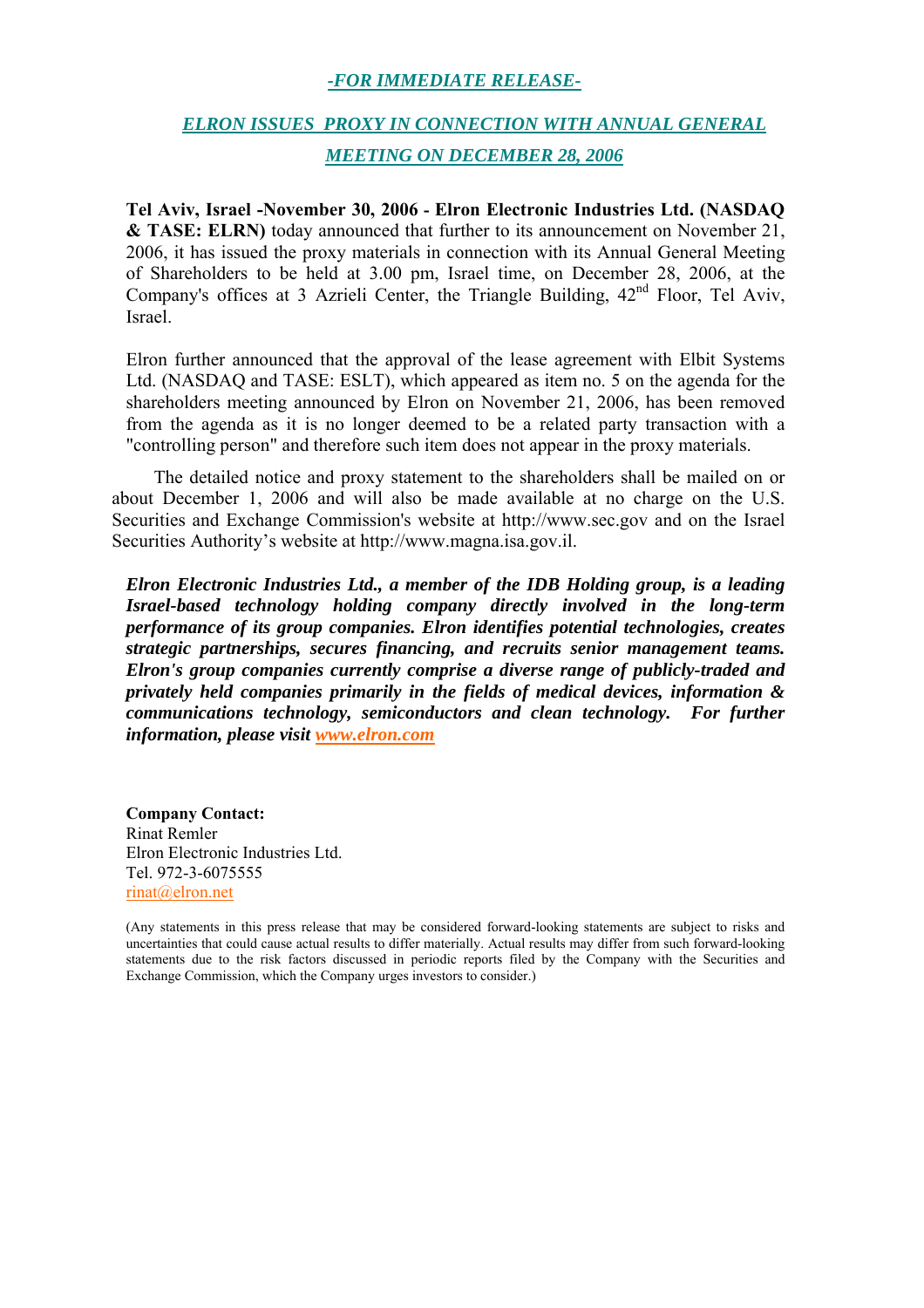#### *-FOR IMMEDIATE RELEASE-*

### *ELRON ISSUES PROXY IN CONNECTION WITH ANNUAL GENERAL MEETING ON DECEMBER 28, 2006*

**Tel Aviv, Israel -November 30, 2006 - Elron Electronic Industries Ltd. (NASDAQ & TASE: ELRN)** today announced that further to its announcement on November 21, 2006, it has issued the proxy materials in connection with its Annual General Meeting of Shareholders to be held at 3.00 pm, Israel time, on December 28, 2006, at the Company's offices at 3 Azrieli Center, the Triangle Building,  $42<sup>nd</sup>$  Floor, Tel Aviv, Israel.

Elron further announced that the approval of the lease agreement with Elbit Systems Ltd. (NASDAQ and TASE: ESLT), which appeared as item no. 5 on the agenda for the shareholders meeting announced by Elron on November 21, 2006, has been removed from the agenda as it is no longer deemed to be a related party transaction with a "controlling person" and therefore such item does not appear in the proxy materials.

The detailed notice and proxy statement to the shareholders shall be mailed on or about December 1, 2006 and will also be made available at no charge on the U.S. Securities and Exchange Commission's website at http://www.sec.gov and on the Israel Securities Authority's website at http://www.magna.isa.gov.il.

*Elron Electronic Industries Ltd., a member of the IDB Holding group, is a leading Israel-based technology holding company directly involved in the long-term performance of its group companies. Elron identifies potential technologies, creates strategic partnerships, secures financing, and recruits senior management teams. Elron's group companies currently comprise a diverse range of publicly-traded and privately held companies primarily in the fields of medical devices, information & communications technology, semiconductors and clean technology. For further information, please visit www.elron.com*

**Company Contact:** Rinat Remler Elron Electronic Industries Ltd. Tel. 972-3-6075555 rinat@elron.net

<sup>(</sup>Any statements in this press release that may be considered forward-looking statements are subject to risks and uncertainties that could cause actual results to differ materially. Actual results may differ from such forward-looking statements due to the risk factors discussed in periodic reports filed by the Company with the Securities and Exchange Commission, which the Company urges investors to consider.)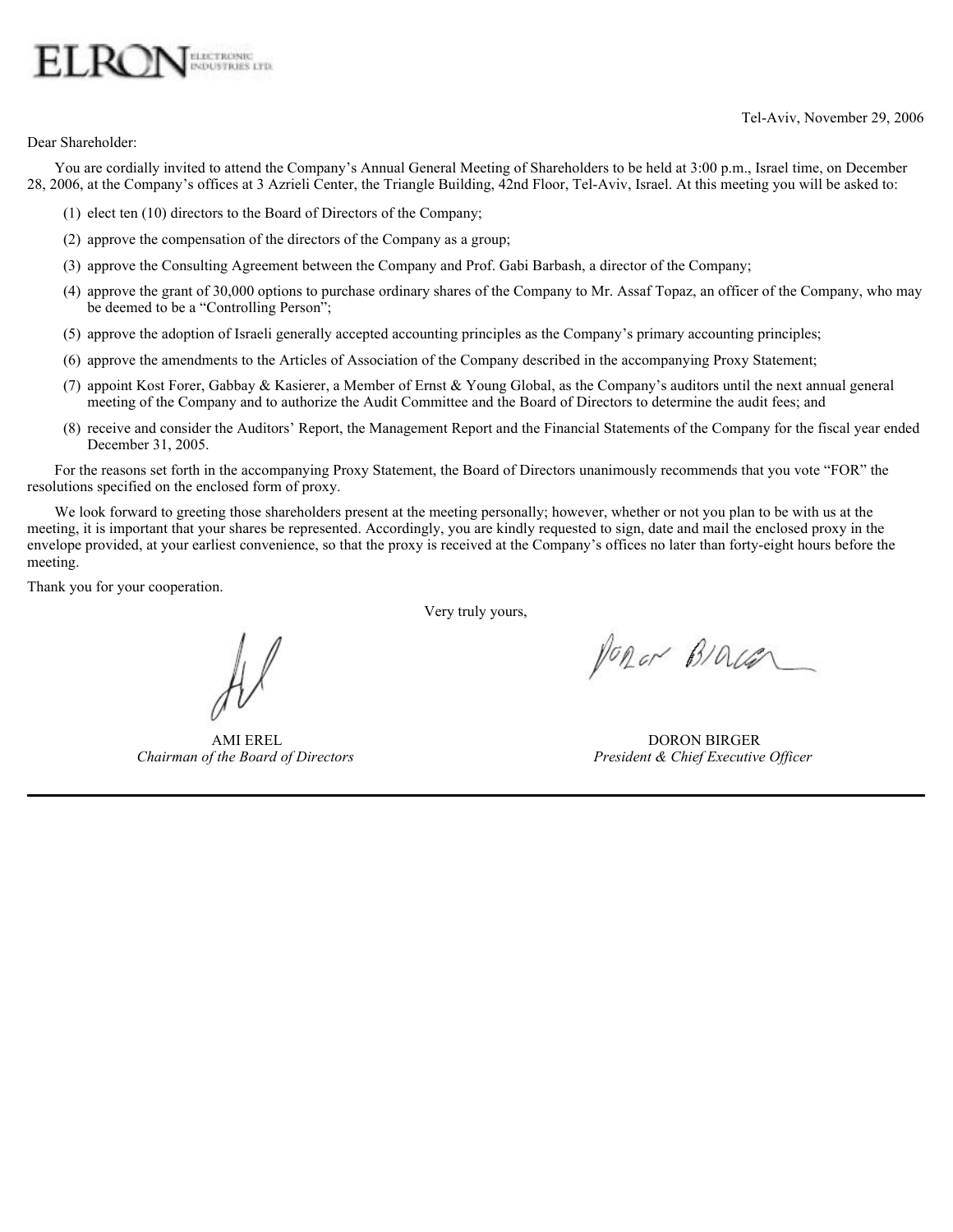# **ELECTRONIC**

Tel-Aviv, November 29, 2006

Dear Shareholder:

You are cordially invited to attend the Company's Annual General Meeting of Shareholders to be held at 3:00 p.m., Israel time, on December 28, 2006, at the Company's offices at 3 Azrieli Center, the Triangle Building, 42nd Floor, Tel-Aviv, Israel. At this meeting you will be asked to:

(1) elect ten (10) directors to the Board of Directors of the Company;

AMI EREL *Chairman of the Board of Directors*

- (2) approve the compensation of the directors of the Company as a group;
- (3) approve the Consulting Agreement between the Company and Prof. Gabi Barbash, a director of the Company;
- (4) approve the grant of 30,000 options to purchase ordinary shares of the Company to Mr. Assaf Topaz, an officer of the Company, who may be deemed to be a "Controlling Person";
- (5) approve the adoption of Israeli generally accepted accounting principles as the Company's primary accounting principles;
- (6) approve the amendments to the Articles of Association of the Company described in the accompanying Proxy Statement;
- (7) appoint Kost Forer, Gabbay & Kasierer, a Member of Ernst & Young Global, as the Company's auditors until the next annual general meeting of the Company and to authorize the Audit Committee and the Board of Directors to determine the audit fees; and
- (8) receive and consider the Auditors' Report, the Management Report and the Financial Statements of the Company for the fiscal year ended December 31, 2005.

For the reasons set forth in the accompanying Proxy Statement, the Board of Directors unanimously recommends that you vote "FOR" the resolutions specified on the enclosed form of proxy.

We look forward to greeting those shareholders present at the meeting personally; however, whether or not you plan to be with us at the meeting, it is important that your shares be represented. Accordingly, you are kindly requested to sign, date and mail the enclosed proxy in the envelope provided, at your earliest convenience, so that the proxy is received at the Company's offices no later than forty-eight hours before the meeting.

Thank you for your cooperation.

Very truly yours,

PORON BIOLEN

DORON BIRGER *President & Chief Executive Officer*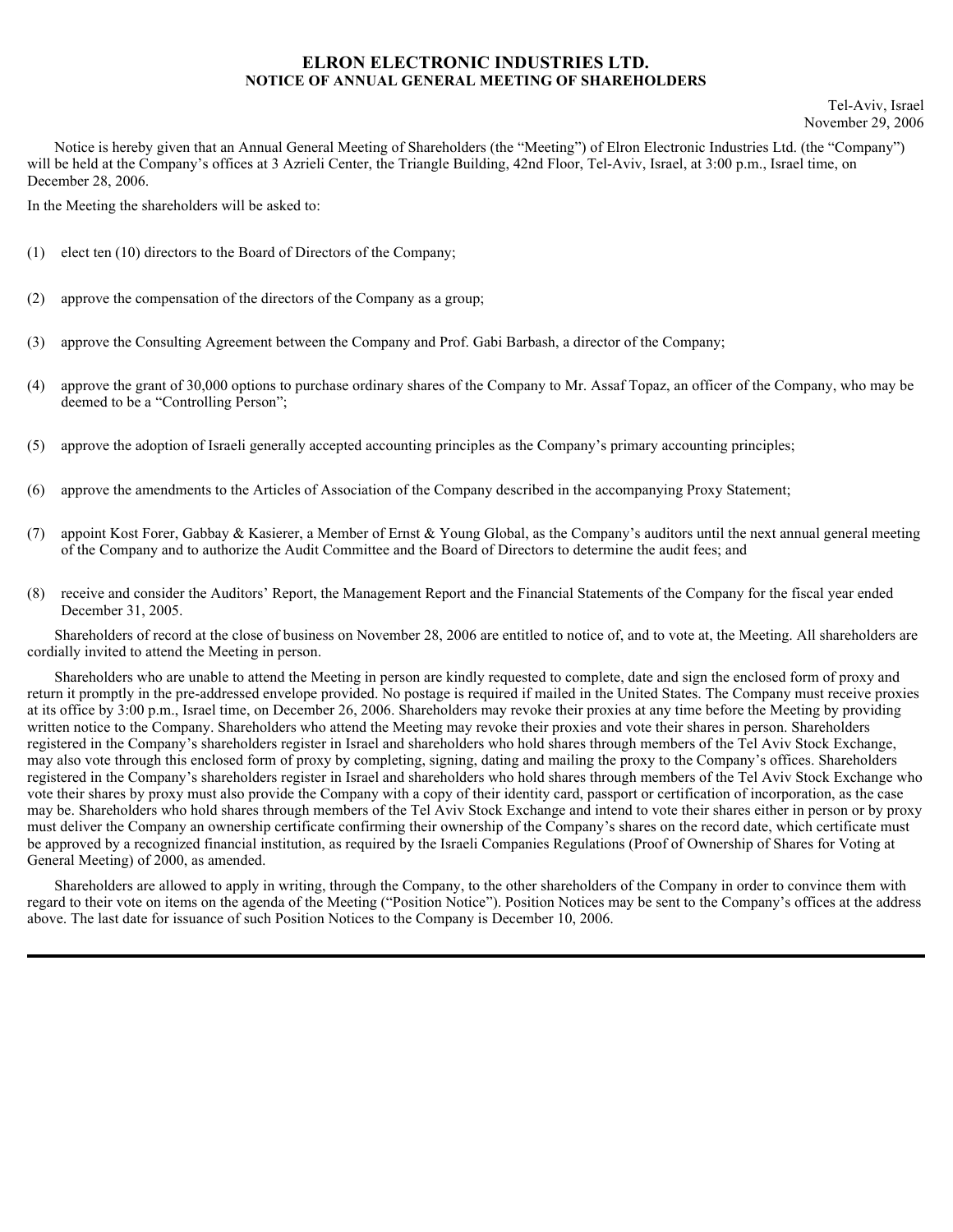#### **ELRON ELECTRONIC INDUSTRIES LTD. NOTICE OF ANNUAL GENERAL MEETING OF SHAREHOLDERS**

Notice is hereby given that an Annual General Meeting of Shareholders (the "Meeting") of Elron Electronic Industries Ltd. (the "Company") will be held at the Company's offices at 3 Azrieli Center, the Triangle Building, 42nd Floor, Tel-Aviv, Israel, at 3:00 p.m., Israel time, on December 28, 2006.

In the Meeting the shareholders will be asked to:

- (1) elect ten (10) directors to the Board of Directors of the Company;
- (2) approve the compensation of the directors of the Company as a group;
- (3) approve the Consulting Agreement between the Company and Prof. Gabi Barbash, a director of the Company;
- (4) approve the grant of 30,000 options to purchase ordinary shares of the Company to Mr. Assaf Topaz, an officer of the Company, who may be deemed to be a "Controlling Person";
- (5) approve the adoption of Israeli generally accepted accounting principles as the Company's primary accounting principles;
- (6) approve the amendments to the Articles of Association of the Company described in the accompanying Proxy Statement;
- (7) appoint Kost Forer, Gabbay & Kasierer, a Member of Ernst & Young Global, as the Company's auditors until the next annual general meeting of the Company and to authorize the Audit Committee and the Board of Directors to determine the audit fees; and
- (8) receive and consider the Auditors' Report, the Management Report and the Financial Statements of the Company for the fiscal year ended December 31, 2005.

Shareholders of record at the close of business on November 28, 2006 are entitled to notice of, and to vote at, the Meeting. All shareholders are cordially invited to attend the Meeting in person.

Shareholders who are unable to attend the Meeting in person are kindly requested to complete, date and sign the enclosed form of proxy and return it promptly in the pre-addressed envelope provided. No postage is required if mailed in the United States. The Company must receive proxies at its office by 3:00 p.m., Israel time, on December 26, 2006. Shareholders may revoke their proxies at any time before the Meeting by providing written notice to the Company. Shareholders who attend the Meeting may revoke their proxies and vote their shares in person. Shareholders registered in the Company's shareholders register in Israel and shareholders who hold shares through members of the Tel Aviv Stock Exchange, may also vote through this enclosed form of proxy by completing, signing, dating and mailing the proxy to the Company's offices. Shareholders registered in the Company's shareholders register in Israel and shareholders who hold shares through members of the Tel Aviv Stock Exchange who vote their shares by proxy must also provide the Company with a copy of their identity card, passport or certification of incorporation, as the case may be. Shareholders who hold shares through members of the Tel Aviv Stock Exchange and intend to vote their shares either in person or by proxy must deliver the Company an ownership certificate confirming their ownership of the Company's shares on the record date, which certificate must be approved by a recognized financial institution, as required by the Israeli Companies Regulations (Proof of Ownership of Shares for Voting at General Meeting) of 2000, as amended.

Shareholders are allowed to apply in writing, through the Company, to the other shareholders of the Company in order to convince them with regard to their vote on items on the agenda of the Meeting ("Position Notice"). Position Notices may be sent to the Company's offices at the address above. The last date for issuance of such Position Notices to the Company is December 10, 2006.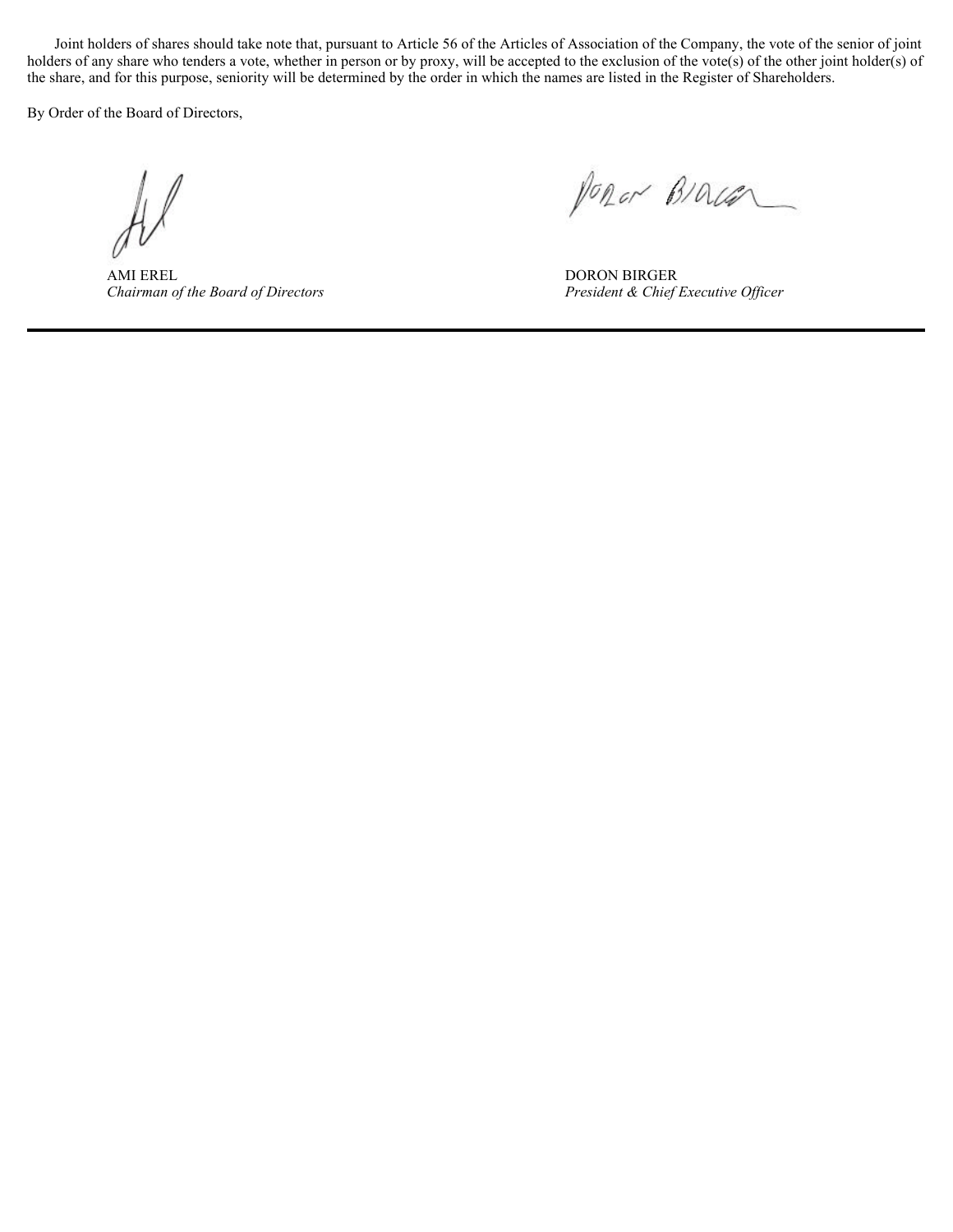Joint holders of shares should take note that, pursuant to Article 56 of the Articles of Association of the Company, the vote of the senior of joint holders of any share who tenders a vote, whether in person or by proxy, will be accepted to the exclusion of the vote(s) of the other joint holder(s) of the share, and for this purpose, seniority will be determined by the order in which the names are listed in the Register of Shareholders.

By Order of the Board of Directors,

AMI EREL *Chairman of the Board of Directors*

Popor BIOLEN

DORON BIRGER *President & Chief Executive Officer*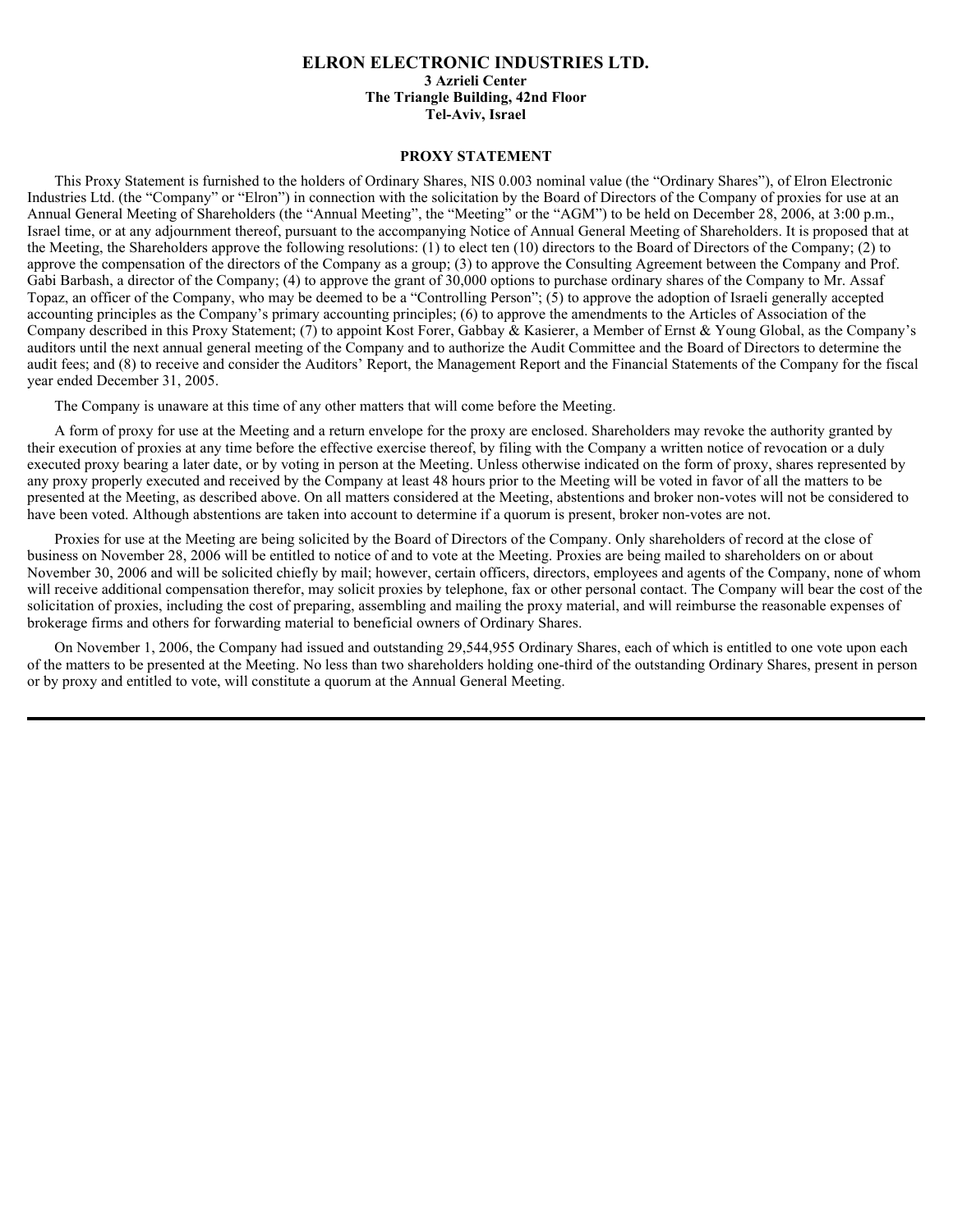#### **ELRON ELECTRONIC INDUSTRIES LTD. 3 Azrieli Center The Triangle Building, 42nd Floor Tel-Aviv, Israel**

#### **PROXY STATEMENT**

This Proxy Statement is furnished to the holders of Ordinary Shares, NIS 0.003 nominal value (the "Ordinary Shares"), of Elron Electronic Industries Ltd. (the "Company" or "Elron") in connection with the solicitation by the Board of Directors of the Company of proxies for use at an Annual General Meeting of Shareholders (the "Annual Meeting", the "Meeting" or the "AGM") to be held on December 28, 2006, at 3:00 p.m., Israel time, or at any adjournment thereof, pursuant to the accompanying Notice of Annual General Meeting of Shareholders. It is proposed that at the Meeting, the Shareholders approve the following resolutions: (1) to elect ten (10) directors to the Board of Directors of the Company; (2) to approve the compensation of the directors of the Company as a group; (3) to approve the Consulting Agreement between the Company and Prof. Gabi Barbash, a director of the Company; (4) to approve the grant of 30,000 options to purchase ordinary shares of the Company to Mr. Assaf Topaz, an officer of the Company, who may be deemed to be a "Controlling Person"; (5) to approve the adoption of Israeli generally accepted accounting principles as the Company's primary accounting principles; (6) to approve the amendments to the Articles of Association of the Company described in this Proxy Statement; (7) to appoint Kost Forer, Gabbay & Kasierer, a Member of Ernst & Young Global, as the Company's auditors until the next annual general meeting of the Company and to authorize the Audit Committee and the Board of Directors to determine the audit fees; and (8) to receive and consider the Auditors' Report, the Management Report and the Financial Statements of the Company for the fiscal year ended December 31, 2005.

The Company is unaware at this time of any other matters that will come before the Meeting.

A form of proxy for use at the Meeting and a return envelope for the proxy are enclosed. Shareholders may revoke the authority granted by their execution of proxies at any time before the effective exercise thereof, by filing with the Company a written notice of revocation or a duly executed proxy bearing a later date, or by voting in person at the Meeting. Unless otherwise indicated on the form of proxy, shares represented by any proxy properly executed and received by the Company at least 48 hours prior to the Meeting will be voted in favor of all the matters to be presented at the Meeting, as described above. On all matters considered at the Meeting, abstentions and broker non-votes will not be considered to have been voted. Although abstentions are taken into account to determine if a quorum is present, broker non-votes are not.

Proxies for use at the Meeting are being solicited by the Board of Directors of the Company. Only shareholders of record at the close of business on November 28, 2006 will be entitled to notice of and to vote at the Meeting. Proxies are being mailed to shareholders on or about November 30, 2006 and will be solicited chiefly by mail; however, certain officers, directors, employees and agents of the Company, none of whom will receive additional compensation therefor, may solicit proxies by telephone, fax or other personal contact. The Company will bear the cost of the solicitation of proxies, including the cost of preparing, assembling and mailing the proxy material, and will reimburse the reasonable expenses of brokerage firms and others for forwarding material to beneficial owners of Ordinary Shares.

On November 1, 2006, the Company had issued and outstanding 29,544,955 Ordinary Shares, each of which is entitled to one vote upon each of the matters to be presented at the Meeting. No less than two shareholders holding one-third of the outstanding Ordinary Shares, present in person or by proxy and entitled to vote, will constitute a quorum at the Annual General Meeting.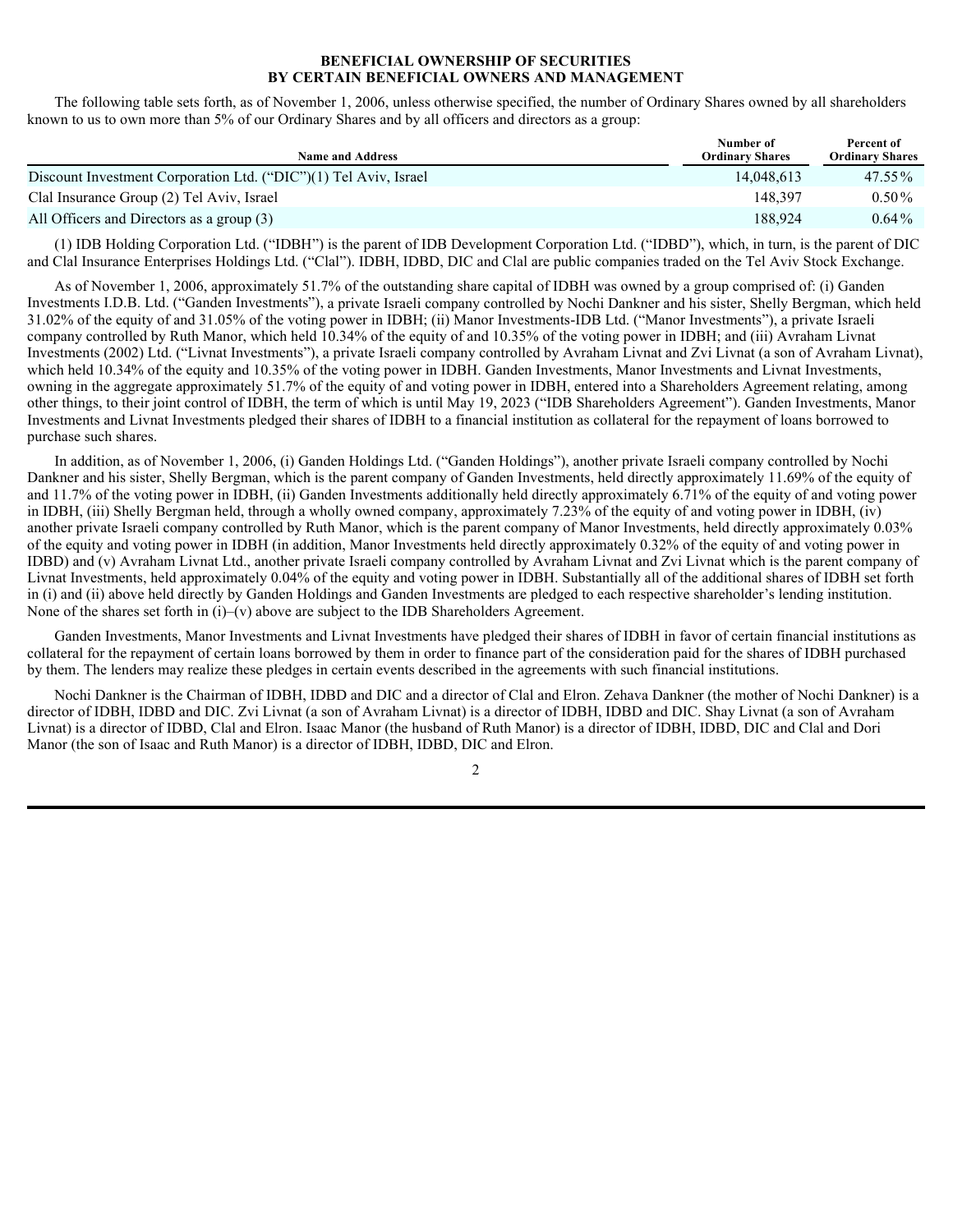#### **BENEFICIAL OWNERSHIP OF SECURITIES BY CERTAIN BENEFICIAL OWNERS AND MANAGEMENT**

The following table sets forth, as of November 1, 2006, unless otherwise specified, the number of Ordinary Shares owned by all shareholders known to us to own more than 5% of our Ordinary Shares and by all officers and directors as a group:

| <b>Name and Address</b>                                          | Number of<br><b>Ordinary Shares</b> | Percent of<br><b>Ordinary Shares</b> |
|------------------------------------------------------------------|-------------------------------------|--------------------------------------|
| Discount Investment Corporation Ltd. ("DIC")(1) Tel Aviv, Israel | 14.048.613                          | $47.55\%$                            |
| Clal Insurance Group (2) Tel Aviv, Israel                        | 148.397                             | $0.50\%$                             |
| All Officers and Directors as a group (3)                        | 188.924                             | $0.64\%$                             |

(1) IDB Holding Corporation Ltd. ("IDBH") is the parent of IDB Development Corporation Ltd. ("IDBD"), which, in turn, is the parent of DIC and Clal Insurance Enterprises Holdings Ltd. ("Clal"). IDBH, IDBD, DIC and Clal are public companies traded on the Tel Aviv Stock Exchange.

As of November 1, 2006, approximately 51.7% of the outstanding share capital of IDBH was owned by a group comprised of: (i) Ganden Investments I.D.B. Ltd. ("Ganden Investments"), a private Israeli company controlled by Nochi Dankner and his sister, Shelly Bergman, which held 31.02% of the equity of and 31.05% of the voting power in IDBH; (ii) Manor Investments-IDB Ltd. ("Manor Investments"), a private Israeli company controlled by Ruth Manor, which held 10.34% of the equity of and 10.35% of the voting power in IDBH; and (iii) Avraham Livnat Investments (2002) Ltd. ("Livnat Investments"), a private Israeli company controlled by Avraham Livnat and Zvi Livnat (a son of Avraham Livnat), which held 10.34% of the equity and 10.35% of the voting power in IDBH. Ganden Investments, Manor Investments and Livnat Investments, owning in the aggregate approximately 51.7% of the equity of and voting power in IDBH, entered into a Shareholders Agreement relating, among other things, to their joint control of IDBH, the term of which is until May 19, 2023 ("IDB Shareholders Agreement"). Ganden Investments, Manor Investments and Livnat Investments pledged their shares of IDBH to a financial institution as collateral for the repayment of loans borrowed to purchase such shares.

In addition, as of November 1, 2006, (i) Ganden Holdings Ltd. ("Ganden Holdings"), another private Israeli company controlled by Nochi Dankner and his sister, Shelly Bergman, which is the parent company of Ganden Investments, held directly approximately 11.69% of the equity of and 11.7% of the voting power in IDBH, (ii) Ganden Investments additionally held directly approximately 6.71% of the equity of and voting power in IDBH, (iii) Shelly Bergman held, through a wholly owned company, approximately 7.23% of the equity of and voting power in IDBH, (iv) another private Israeli company controlled by Ruth Manor, which is the parent company of Manor Investments, held directly approximately 0.03% of the equity and voting power in IDBH (in addition, Manor Investments held directly approximately 0.32% of the equity of and voting power in IDBD) and (v) Avraham Livnat Ltd., another private Israeli company controlled by Avraham Livnat and Zvi Livnat which is the parent company of Livnat Investments, held approximately 0.04% of the equity and voting power in IDBH. Substantially all of the additional shares of IDBH set forth in (i) and (ii) above held directly by Ganden Holdings and Ganden Investments are pledged to each respective shareholder's lending institution. None of the shares set forth in  $(i)$ – $(v)$  above are subject to the IDB Shareholders Agreement.

Ganden Investments, Manor Investments and Livnat Investments have pledged their shares of IDBH in favor of certain financial institutions as collateral for the repayment of certain loans borrowed by them in order to finance part of the consideration paid for the shares of IDBH purchased by them. The lenders may realize these pledges in certain events described in the agreements with such financial institutions.

Nochi Dankner is the Chairman of IDBH, IDBD and DIC and a director of Clal and Elron. Zehava Dankner (the mother of Nochi Dankner) is a director of IDBH, IDBD and DIC. Zvi Livnat (a son of Avraham Livnat) is a director of IDBH, IDBD and DIC. Shay Livnat (a son of Avraham Livnat) is a director of IDBD, Clal and Elron. Isaac Manor (the husband of Ruth Manor) is a director of IDBH, IDBD, DIC and Clal and Dori Manor (the son of Isaac and Ruth Manor) is a director of IDBH, IDBD, DIC and Elron.

 $\mathfrak{D}$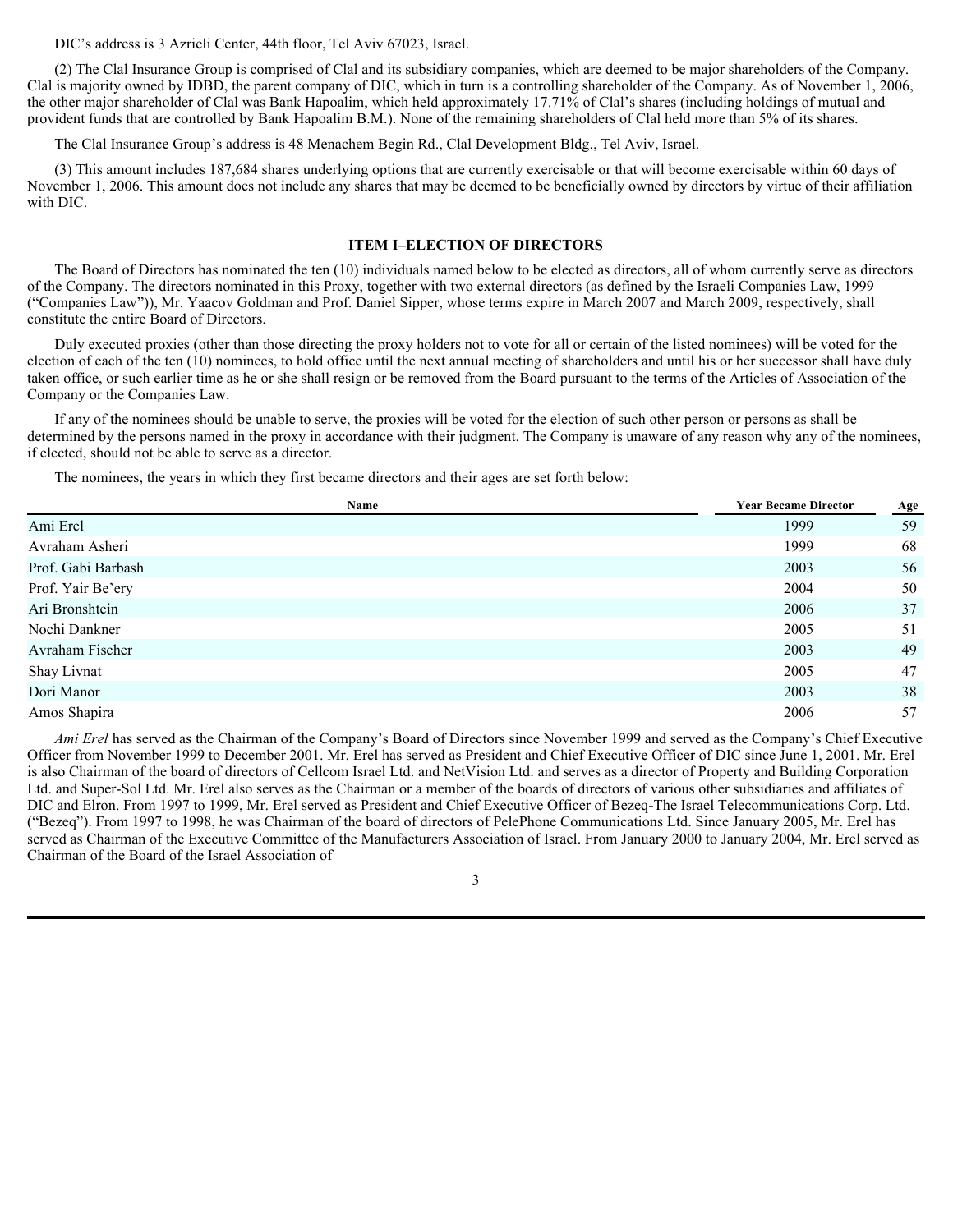DIC's address is 3 Azrieli Center, 44th floor, Tel Aviv 67023, Israel.

(2) The Clal Insurance Group is comprised of Clal and its subsidiary companies, which are deemed to be major shareholders of the Company. Clal is majority owned by IDBD, the parent company of DIC, which in turn is a controlling shareholder of the Company. As of November 1, 2006, the other major shareholder of Clal was Bank Hapoalim, which held approximately 17.71% of Clal's shares (including holdings of mutual and provident funds that are controlled by Bank Hapoalim B.M.). None of the remaining shareholders of Clal held more than 5% of its shares.

The Clal Insurance Group's address is 48 Menachem Begin Rd., Clal Development Bldg., Tel Aviv, Israel.

(3) This amount includes 187,684 shares underlying options that are currently exercisable or that will become exercisable within 60 days of November 1, 2006. This amount does not include any shares that may be deemed to be beneficially owned by directors by virtue of their affiliation with DIC.

#### **ITEM I–ELECTION OF DIRECTORS**

The Board of Directors has nominated the ten (10) individuals named below to be elected as directors, all of whom currently serve as directors of the Company. The directors nominated in this Proxy, together with two external directors (as defined by the Israeli Companies Law, 1999 ("Companies Law")), Mr. Yaacov Goldman and Prof. Daniel Sipper, whose terms expire in March 2007 and March 2009, respectively, shall constitute the entire Board of Directors.

Duly executed proxies (other than those directing the proxy holders not to vote for all or certain of the listed nominees) will be voted for the election of each of the ten (10) nominees, to hold office until the next annual meeting of shareholders and until his or her successor shall have duly taken office, or such earlier time as he or she shall resign or be removed from the Board pursuant to the terms of the Articles of Association of the Company or the Companies Law.

If any of the nominees should be unable to serve, the proxies will be voted for the election of such other person or persons as shall be determined by the persons named in the proxy in accordance with their judgment. The Company is unaware of any reason why any of the nominees, if elected, should not be able to serve as a director.

The nominees, the years in which they first became directors and their ages are set forth below:

| Name               | <b>Year Became Director</b> | Age |  |
|--------------------|-----------------------------|-----|--|
| Ami Erel           | 1999                        | 59  |  |
| Avraham Asheri     | 1999                        | 68  |  |
| Prof. Gabi Barbash | 2003                        | 56  |  |
| Prof. Yair Be'ery  | 2004                        | 50  |  |
| Ari Bronshtein     | 2006                        | 37  |  |
| Nochi Dankner      | 2005                        | 51  |  |
| Avraham Fischer    | 2003                        | 49  |  |
| Shay Livnat        | 2005                        | 47  |  |
| Dori Manor         | 2003                        | 38  |  |
| Amos Shapira       | 2006                        | 57  |  |

*Ami Erel* has served as the Chairman of the Company's Board of Directors since November 1999 and served as the Company's Chief Executive Officer from November 1999 to December 2001. Mr. Erel has served as President and Chief Executive Officer of DIC since June 1, 2001. Mr. Erel is also Chairman of the board of directors of Cellcom Israel Ltd. and NetVision Ltd. and serves as a director of Property and Building Corporation Ltd. and Super-Sol Ltd. Mr. Erel also serves as the Chairman or a member of the boards of directors of various other subsidiaries and affiliates of DIC and Elron. From 1997 to 1999, Mr. Erel served as President and Chief Executive Officer of Bezeq-The Israel Telecommunications Corp. Ltd. ("Bezeq"). From 1997 to 1998, he was Chairman of the board of directors of PelePhone Communications Ltd. Since January 2005, Mr. Erel has served as Chairman of the Executive Committee of the Manufacturers Association of Israel. From January 2000 to January 2004, Mr. Erel served as Chairman of the Board of the Israel Association of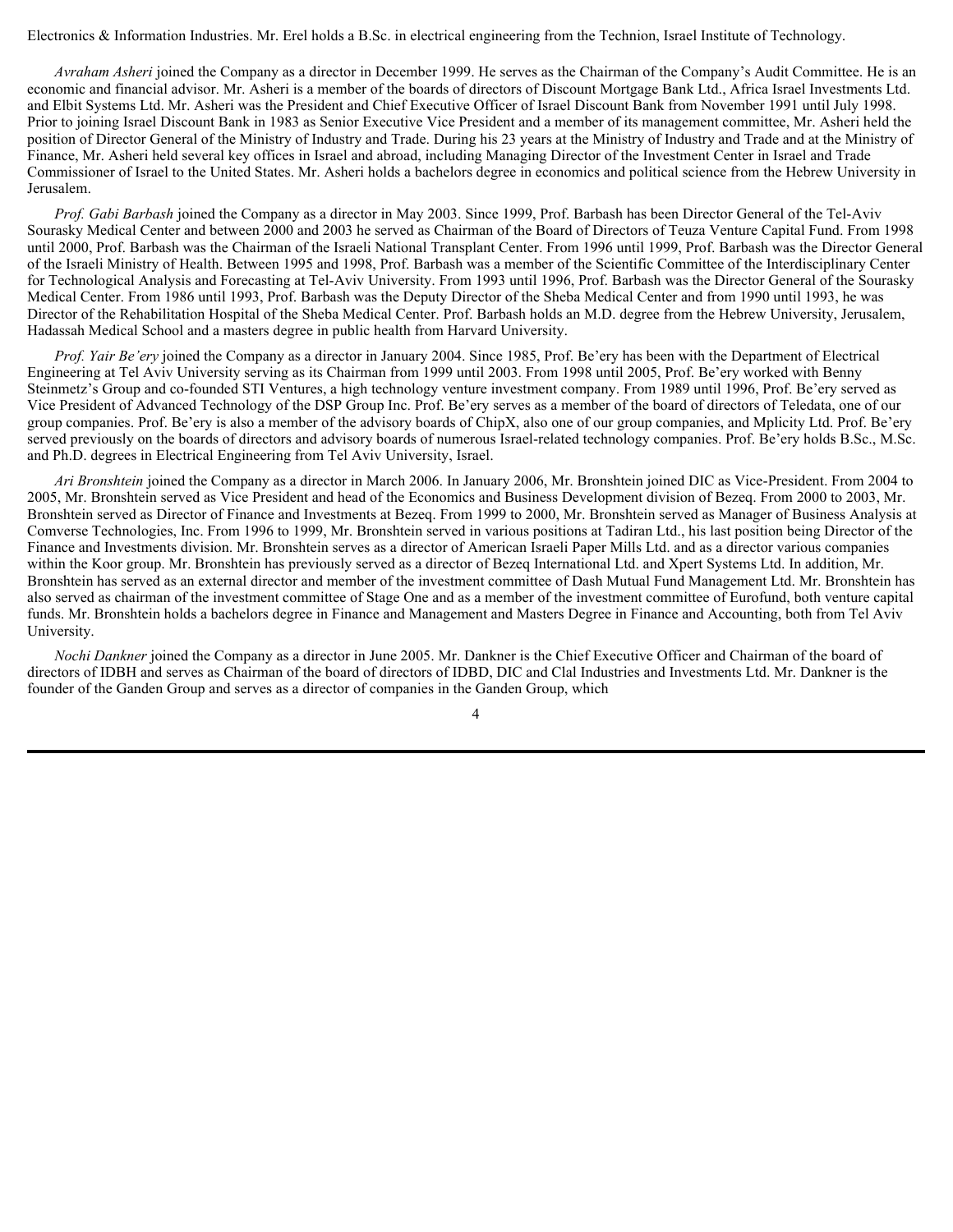Electronics & Information Industries. Mr. Erel holds a B.Sc. in electrical engineering from the Technion, Israel Institute of Technology.

*Avraham Asheri* joined the Company as a director in December 1999. He serves as the Chairman of the Company's Audit Committee. He is an economic and financial advisor. Mr. Asheri is a member of the boards of directors of Discount Mortgage Bank Ltd., Africa Israel Investments Ltd. and Elbit Systems Ltd. Mr. Asheri was the President and Chief Executive Officer of Israel Discount Bank from November 1991 until July 1998. Prior to joining Israel Discount Bank in 1983 as Senior Executive Vice President and a member of its management committee, Mr. Asheri held the position of Director General of the Ministry of Industry and Trade. During his 23 years at the Ministry of Industry and Trade and at the Ministry of Finance, Mr. Asheri held several key offices in Israel and abroad, including Managing Director of the Investment Center in Israel and Trade Commissioner of Israel to the United States. Mr. Asheri holds a bachelors degree in economics and political science from the Hebrew University in Jerusalem.

*Prof. Gabi Barbash* joined the Company as a director in May 2003. Since 1999, Prof. Barbash has been Director General of the Tel-Aviv Sourasky Medical Center and between 2000 and 2003 he served as Chairman of the Board of Directors of Teuza Venture Capital Fund. From 1998 until 2000, Prof. Barbash was the Chairman of the Israeli National Transplant Center. From 1996 until 1999, Prof. Barbash was the Director General of the Israeli Ministry of Health. Between 1995 and 1998, Prof. Barbash was a member of the Scientific Committee of the Interdisciplinary Center for Technological Analysis and Forecasting at Tel-Aviv University. From 1993 until 1996, Prof. Barbash was the Director General of the Sourasky Medical Center. From 1986 until 1993, Prof. Barbash was the Deputy Director of the Sheba Medical Center and from 1990 until 1993, he was Director of the Rehabilitation Hospital of the Sheba Medical Center. Prof. Barbash holds an M.D. degree from the Hebrew University, Jerusalem, Hadassah Medical School and a masters degree in public health from Harvard University.

*Prof. Yair Be'ery* joined the Company as a director in January 2004. Since 1985, Prof. Be'ery has been with the Department of Electrical Engineering at Tel Aviv University serving as its Chairman from 1999 until 2003. From 1998 until 2005, Prof. Be'ery worked with Benny Steinmetz's Group and co-founded STI Ventures, a high technology venture investment company. From 1989 until 1996, Prof. Be'ery served as Vice President of Advanced Technology of the DSP Group Inc. Prof. Be'ery serves as a member of the board of directors of Teledata, one of our group companies. Prof. Be'ery is also a member of the advisory boards of ChipX, also one of our group companies, and Mplicity Ltd. Prof. Be'ery served previously on the boards of directors and advisory boards of numerous Israel-related technology companies. Prof. Be'ery holds B.Sc., M.Sc. and Ph.D. degrees in Electrical Engineering from Tel Aviv University, Israel.

*Ari Bronshtein* joined the Company as a director in March 2006. In January 2006, Mr. Bronshtein joined DIC as Vice-President. From 2004 to 2005, Mr. Bronshtein served as Vice President and head of the Economics and Business Development division of Bezeq. From 2000 to 2003, Mr. Bronshtein served as Director of Finance and Investments at Bezeq. From 1999 to 2000, Mr. Bronshtein served as Manager of Business Analysis at Comverse Technologies, Inc. From 1996 to 1999, Mr. Bronshtein served in various positions at Tadiran Ltd., his last position being Director of the Finance and Investments division. Mr. Bronshtein serves as a director of American Israeli Paper Mills Ltd. and as a director various companies within the Koor group. Mr. Bronshtein has previously served as a director of Bezeq International Ltd. and Xpert Systems Ltd. In addition, Mr. Bronshtein has served as an external director and member of the investment committee of Dash Mutual Fund Management Ltd. Mr. Bronshtein has also served as chairman of the investment committee of Stage One and as a member of the investment committee of Eurofund, both venture capital funds. Mr. Bronshtein holds a bachelors degree in Finance and Management and Masters Degree in Finance and Accounting, both from Tel Aviv University.

*Nochi Dankner* joined the Company as a director in June 2005. Mr. Dankner is the Chief Executive Officer and Chairman of the board of directors of IDBH and serves as Chairman of the board of directors of IDBD, DIC and Clal Industries and Investments Ltd. Mr. Dankner is the founder of the Ganden Group and serves as a director of companies in the Ganden Group, which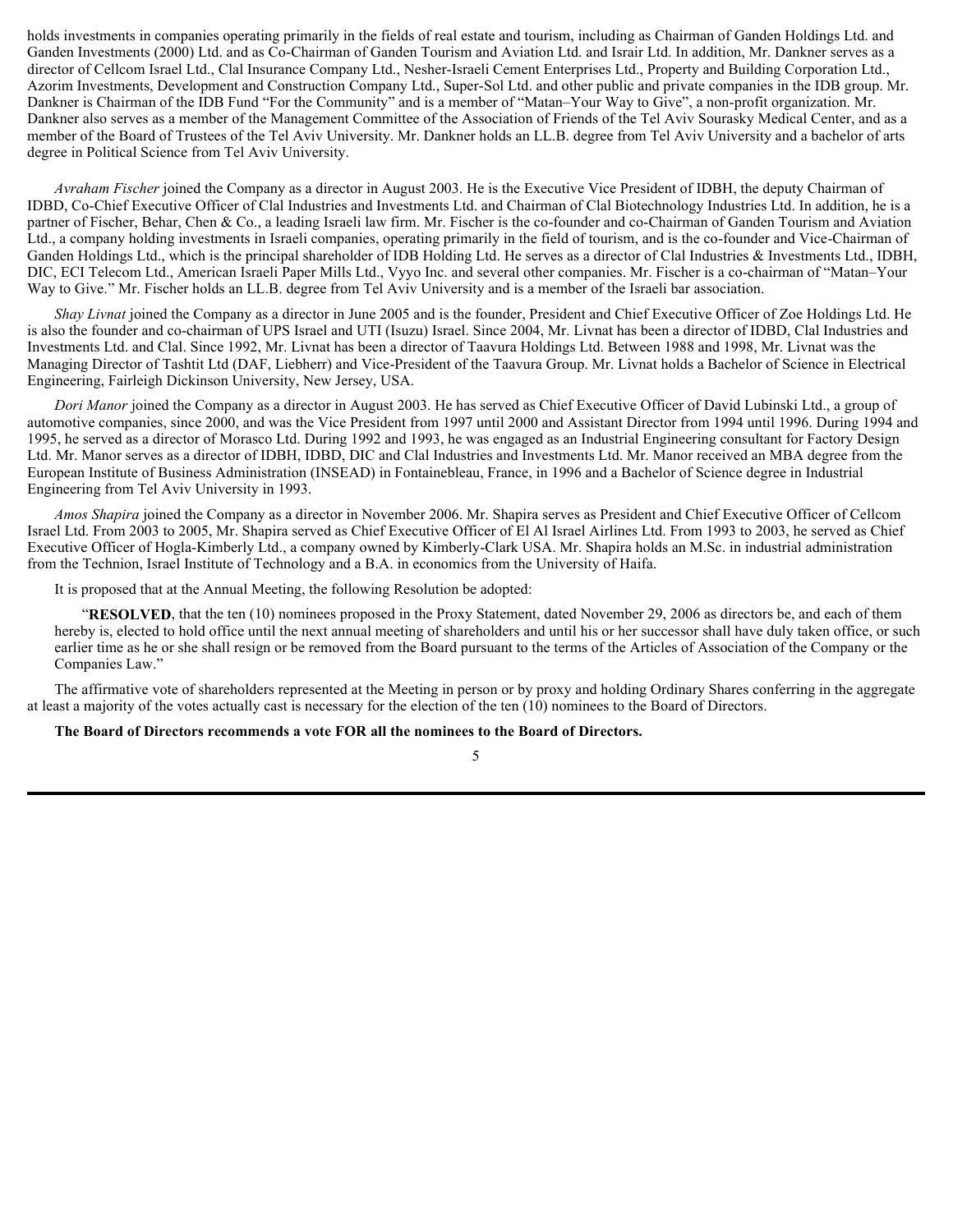holds investments in companies operating primarily in the fields of real estate and tourism, including as Chairman of Ganden Holdings Ltd. and Ganden Investments (2000) Ltd. and as Co-Chairman of Ganden Tourism and Aviation Ltd. and Israir Ltd. In addition, Mr. Dankner serves as a director of Cellcom Israel Ltd., Clal Insurance Company Ltd., Nesher-Israeli Cement Enterprises Ltd., Property and Building Corporation Ltd., Azorim Investments, Development and Construction Company Ltd., Super-Sol Ltd. and other public and private companies in the IDB group. Mr. Dankner is Chairman of the IDB Fund "For the Community" and is a member of "Matan–Your Way to Give", a non-profit organization. Mr. Dankner also serves as a member of the Management Committee of the Association of Friends of the Tel Aviv Sourasky Medical Center, and as a member of the Board of Trustees of the Tel Aviv University. Mr. Dankner holds an LL.B. degree from Tel Aviv University and a bachelor of arts degree in Political Science from Tel Aviv University.

*Avraham Fischer* joined the Company as a director in August 2003. He is the Executive Vice President of IDBH, the deputy Chairman of IDBD, Co-Chief Executive Officer of Clal Industries and Investments Ltd. and Chairman of Clal Biotechnology Industries Ltd. In addition, he is a partner of Fischer, Behar, Chen & Co., a leading Israeli law firm. Mr. Fischer is the co-founder and co-Chairman of Ganden Tourism and Aviation Ltd., a company holding investments in Israeli companies, operating primarily in the field of tourism, and is the co-founder and Vice-Chairman of Ganden Holdings Ltd., which is the principal shareholder of IDB Holding Ltd. He serves as a director of Clal Industries & Investments Ltd., IDBH, DIC, ECI Telecom Ltd., American Israeli Paper Mills Ltd., Vyyo Inc. and several other companies. Mr. Fischer is a co-chairman of "Matan–Your Way to Give." Mr. Fischer holds an LL.B. degree from Tel Aviv University and is a member of the Israeli bar association.

*Shay Livnat* joined the Company as a director in June 2005 and is the founder, President and Chief Executive Officer of Zoe Holdings Ltd. He is also the founder and co-chairman of UPS Israel and UTI (Isuzu) Israel. Since 2004, Mr. Livnat has been a director of IDBD, Clal Industries and Investments Ltd. and Clal. Since 1992, Mr. Livnat has been a director of Taavura Holdings Ltd. Between 1988 and 1998, Mr. Livnat was the Managing Director of Tashtit Ltd (DAF, Liebherr) and Vice-President of the Taavura Group. Mr. Livnat holds a Bachelor of Science in Electrical Engineering, Fairleigh Dickinson University, New Jersey, USA.

*Dori Manor* joined the Company as a director in August 2003. He has served as Chief Executive Officer of David Lubinski Ltd., a group of automotive companies, since 2000, and was the Vice President from 1997 until 2000 and Assistant Director from 1994 until 1996. During 1994 and 1995, he served as a director of Morasco Ltd. During 1992 and 1993, he was engaged as an Industrial Engineering consultant for Factory Design Ltd. Mr. Manor serves as a director of IDBH, IDBD, DIC and Clal Industries and Investments Ltd. Mr. Manor received an MBA degree from the European Institute of Business Administration (INSEAD) in Fontainebleau, France, in 1996 and a Bachelor of Science degree in Industrial Engineering from Tel Aviv University in 1993.

*Amos Shapira* joined the Company as a director in November 2006. Mr. Shapira serves as President and Chief Executive Officer of Cellcom Israel Ltd. From 2003 to 2005, Mr. Shapira served as Chief Executive Officer of El Al Israel Airlines Ltd. From 1993 to 2003, he served as Chief Executive Officer of Hogla-Kimberly Ltd., a company owned by Kimberly-Clark USA. Mr. Shapira holds an M.Sc. in industrial administration from the Technion, Israel Institute of Technology and a B.A. in economics from the University of Haifa.

It is proposed that at the Annual Meeting, the following Resolution be adopted:

"**RESOLVED**, that the ten (10) nominees proposed in the Proxy Statement, dated November 29, 2006 as directors be, and each of them hereby is, elected to hold office until the next annual meeting of shareholders and until his or her successor shall have duly taken office, or such earlier time as he or she shall resign or be removed from the Board pursuant to the terms of the Articles of Association of the Company or the Companies Law."

The affirmative vote of shareholders represented at the Meeting in person or by proxy and holding Ordinary Shares conferring in the aggregate at least a majority of the votes actually cast is necessary for the election of the ten (10) nominees to the Board of Directors.

#### **The Board of Directors recommends a vote FOR all the nominees to the Board of Directors.**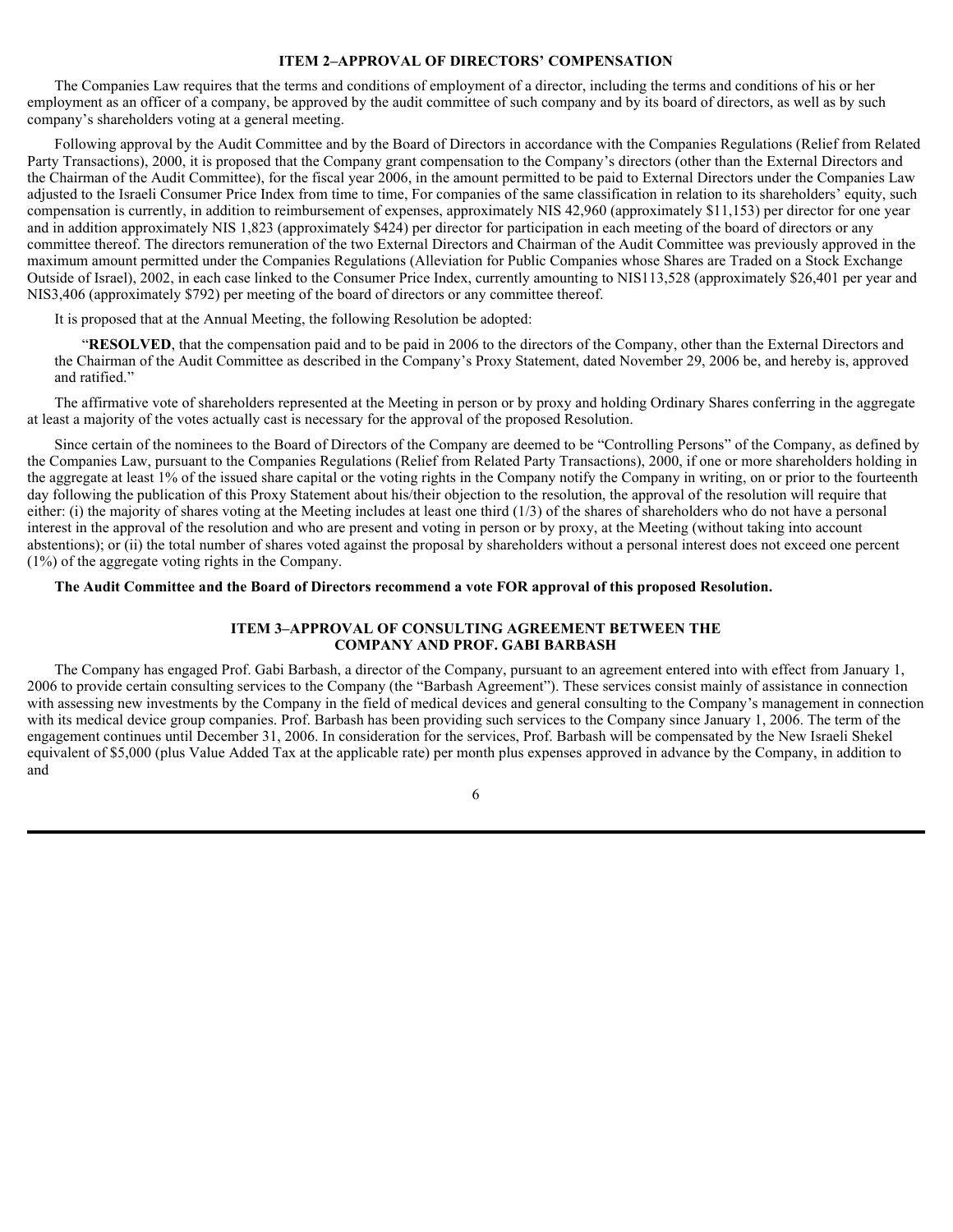#### **ITEM 2–APPROVAL OF DIRECTORS' COMPENSATION**

The Companies Law requires that the terms and conditions of employment of a director, including the terms and conditions of his or her employment as an officer of a company, be approved by the audit committee of such company and by its board of directors, as well as by such company's shareholders voting at a general meeting.

Following approval by the Audit Committee and by the Board of Directors in accordance with the Companies Regulations (Relief from Related Party Transactions), 2000, it is proposed that the Company grant compensation to the Company's directors (other than the External Directors and the Chairman of the Audit Committee), for the fiscal year 2006, in the amount permitted to be paid to External Directors under the Companies Law adjusted to the Israeli Consumer Price Index from time to time, For companies of the same classification in relation to its shareholders' equity, such compensation is currently, in addition to reimbursement of expenses, approximately NIS 42,960 (approximately \$11,153) per director for one year and in addition approximately NIS 1,823 (approximately \$424) per director for participation in each meeting of the board of directors or any committee thereof. The directors remuneration of the two External Directors and Chairman of the Audit Committee was previously approved in the maximum amount permitted under the Companies Regulations (Alleviation for Public Companies whose Shares are Traded on a Stock Exchange Outside of Israel), 2002, in each case linked to the Consumer Price Index, currently amounting to NIS113,528 (approximately \$26,401 per year and NIS3,406 (approximately \$792) per meeting of the board of directors or any committee thereof.

It is proposed that at the Annual Meeting, the following Resolution be adopted:

"**RESOLVED**, that the compensation paid and to be paid in 2006 to the directors of the Company, other than the External Directors and the Chairman of the Audit Committee as described in the Company's Proxy Statement, dated November 29, 2006 be, and hereby is, approved and ratified."

The affirmative vote of shareholders represented at the Meeting in person or by proxy and holding Ordinary Shares conferring in the aggregate at least a majority of the votes actually cast is necessary for the approval of the proposed Resolution.

Since certain of the nominees to the Board of Directors of the Company are deemed to be "Controlling Persons" of the Company, as defined by the Companies Law, pursuant to the Companies Regulations (Relief from Related Party Transactions), 2000, if one or more shareholders holding in the aggregate at least 1% of the issued share capital or the voting rights in the Company notify the Company in writing, on or prior to the fourteenth day following the publication of this Proxy Statement about his/their objection to the resolution, the approval of the resolution will require that either: (i) the majority of shares voting at the Meeting includes at least one third  $(1/3)$  of the shares of shareholders who do not have a personal interest in the approval of the resolution and who are present and voting in person or by proxy, at the Meeting (without taking into account abstentions); or (ii) the total number of shares voted against the proposal by shareholders without a personal interest does not exceed one percent (1%) of the aggregate voting rights in the Company.

#### **The Audit Committee and the Board of Directors recommend a vote FOR approval of this proposed Resolution.**

#### **ITEM 3–APPROVAL OF CONSULTING AGREEMENT BETWEEN THE COMPANY AND PROF. GABI BARBASH**

The Company has engaged Prof. Gabi Barbash, a director of the Company, pursuant to an agreement entered into with effect from January 1, 2006 to provide certain consulting services to the Company (the "Barbash Agreement"). These services consist mainly of assistance in connection with assessing new investments by the Company in the field of medical devices and general consulting to the Company's management in connection with its medical device group companies. Prof. Barbash has been providing such services to the Company since January 1, 2006. The term of the engagement continues until December 31, 2006. In consideration for the services, Prof. Barbash will be compensated by the New Israeli Shekel equivalent of \$5,000 (plus Value Added Tax at the applicable rate) per month plus expenses approved in advance by the Company, in addition to and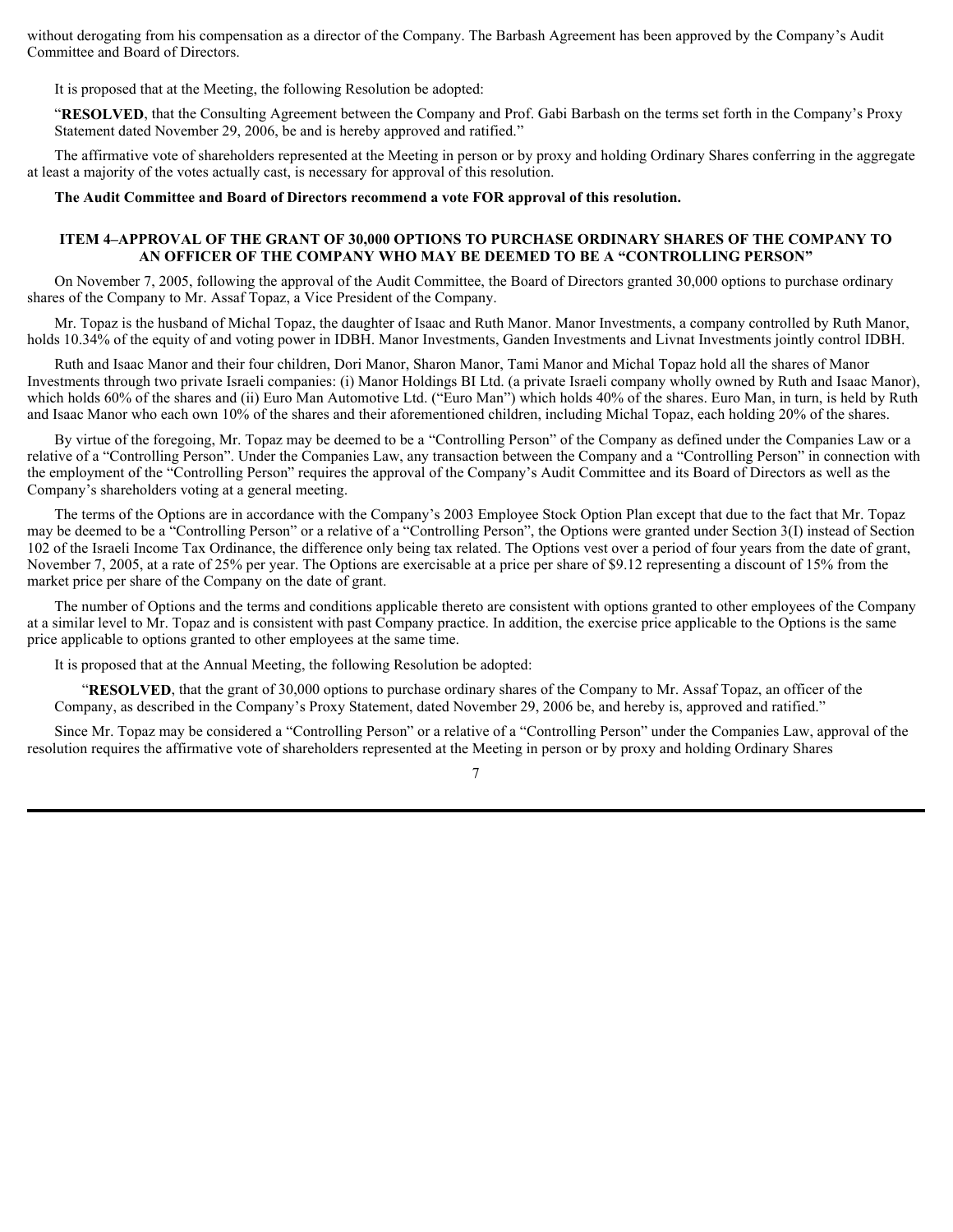without derogating from his compensation as a director of the Company. The Barbash Agreement has been approved by the Company's Audit Committee and Board of Directors.

It is proposed that at the Meeting, the following Resolution be adopted:

"**RESOLVED**, that the Consulting Agreement between the Company and Prof. Gabi Barbash on the terms set forth in the Company's Proxy Statement dated November 29, 2006, be and is hereby approved and ratified."

The affirmative vote of shareholders represented at the Meeting in person or by proxy and holding Ordinary Shares conferring in the aggregate at least a majority of the votes actually cast, is necessary for approval of this resolution.

**The Audit Committee and Board of Directors recommend a vote FOR approval of this resolution.**

#### **ITEM 4–APPROVAL OF THE GRANT OF 30,000 OPTIONS TO PURCHASE ORDINARY SHARES OF THE COMPANY TO AN OFFICER OF THE COMPANY WHO MAY BE DEEMED TO BE A "CONTROLLING PERSON"**

On November 7, 2005, following the approval of the Audit Committee, the Board of Directors granted 30,000 options to purchase ordinary shares of the Company to Mr. Assaf Topaz, a Vice President of the Company.

Mr. Topaz is the husband of Michal Topaz, the daughter of Isaac and Ruth Manor. Manor Investments, a company controlled by Ruth Manor, holds 10.34% of the equity of and voting power in IDBH. Manor Investments, Ganden Investments and Livnat Investments jointly control IDBH.

Ruth and Isaac Manor and their four children, Dori Manor, Sharon Manor, Tami Manor and Michal Topaz hold all the shares of Manor Investments through two private Israeli companies: (i) Manor Holdings BI Ltd. (a private Israeli company wholly owned by Ruth and Isaac Manor), which holds 60% of the shares and (ii) Euro Man Automotive Ltd. ("Euro Man") which holds 40% of the shares. Euro Man, in turn, is held by Ruth and Isaac Manor who each own 10% of the shares and their aforementioned children, including Michal Topaz, each holding 20% of the shares.

By virtue of the foregoing, Mr. Topaz may be deemed to be a "Controlling Person" of the Company as defined under the Companies Law or a relative of a "Controlling Person". Under the Companies Law, any transaction between the Company and a "Controlling Person" in connection with the employment of the "Controlling Person" requires the approval of the Company's Audit Committee and its Board of Directors as well as the Company's shareholders voting at a general meeting.

The terms of the Options are in accordance with the Company's 2003 Employee Stock Option Plan except that due to the fact that Mr. Topaz may be deemed to be a "Controlling Person" or a relative of a "Controlling Person", the Options were granted under Section 3(I) instead of Section 102 of the Israeli Income Tax Ordinance, the difference only being tax related. The Options vest over a period of four years from the date of grant, November 7, 2005, at a rate of 25% per year. The Options are exercisable at a price per share of \$9.12 representing a discount of 15% from the market price per share of the Company on the date of grant.

The number of Options and the terms and conditions applicable thereto are consistent with options granted to other employees of the Company at a similar level to Mr. Topaz and is consistent with past Company practice. In addition, the exercise price applicable to the Options is the same price applicable to options granted to other employees at the same time.

It is proposed that at the Annual Meeting, the following Resolution be adopted:

"**RESOLVED**, that the grant of 30,000 options to purchase ordinary shares of the Company to Mr. Assaf Topaz, an officer of the Company, as described in the Company's Proxy Statement, dated November 29, 2006 be, and hereby is, approved and ratified."

Since Mr. Topaz may be considered a "Controlling Person" or a relative of a "Controlling Person" under the Companies Law, approval of the resolution requires the affirmative vote of shareholders represented at the Meeting in person or by proxy and holding Ordinary Shares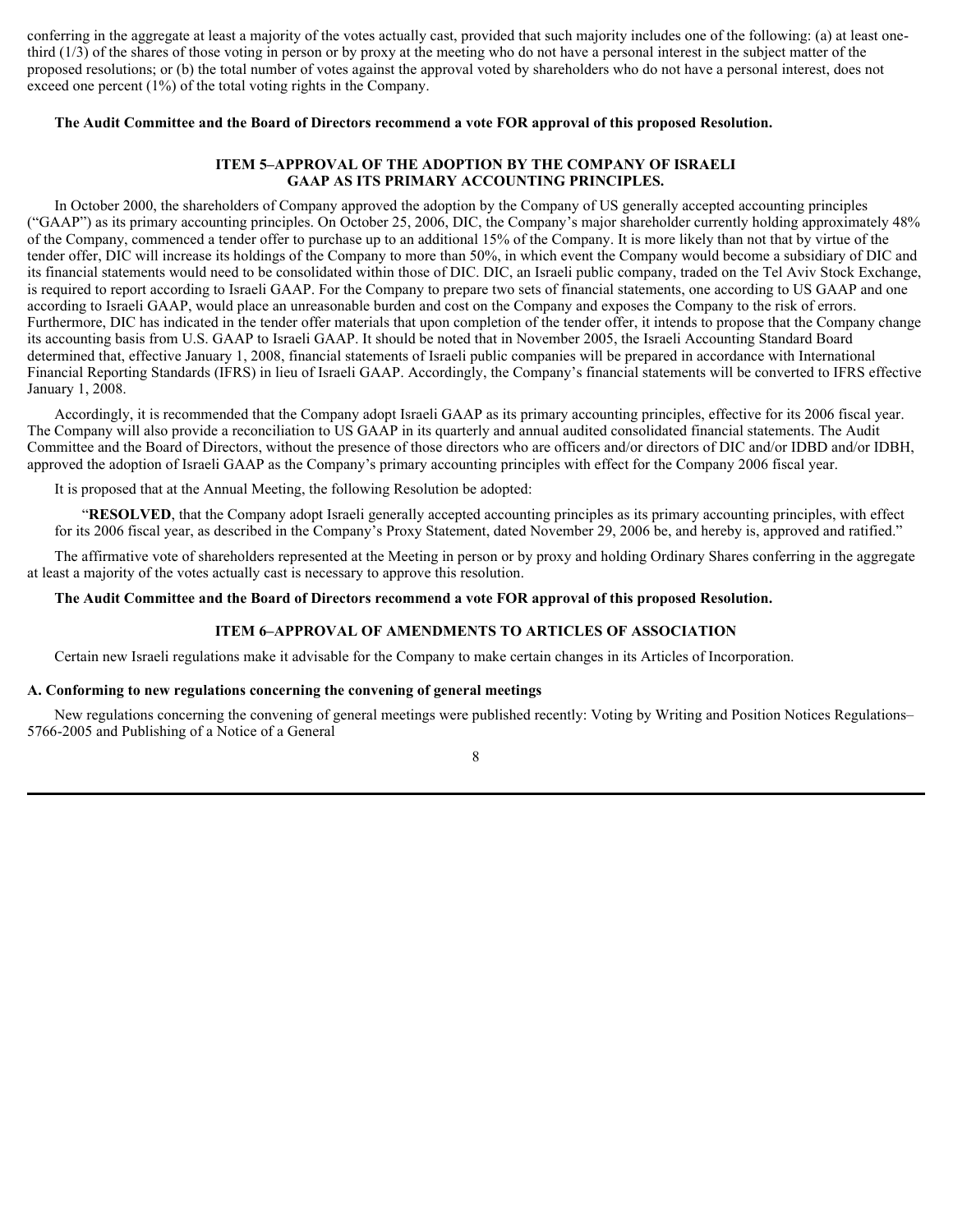conferring in the aggregate at least a majority of the votes actually cast, provided that such majority includes one of the following: (a) at least onethird (1/3) of the shares of those voting in person or by proxy at the meeting who do not have a personal interest in the subject matter of the proposed resolutions; or (b) the total number of votes against the approval voted by shareholders who do not have a personal interest, does not exceed one percent (1%) of the total voting rights in the Company.

#### **The Audit Committee and the Board of Directors recommend a vote FOR approval of this proposed Resolution.**

#### **ITEM 5–APPROVAL OF THE ADOPTION BY THE COMPANY OF ISRAELI GAAP AS ITS PRIMARY ACCOUNTING PRINCIPLES.**

In October 2000, the shareholders of Company approved the adoption by the Company of US generally accepted accounting principles ("GAAP") as its primary accounting principles. On October 25, 2006, DIC, the Company's major shareholder currently holding approximately 48% of the Company, commenced a tender offer to purchase up to an additional 15% of the Company. It is more likely than not that by virtue of the tender offer, DIC will increase its holdings of the Company to more than 50%, in which event the Company would become a subsidiary of DIC and its financial statements would need to be consolidated within those of DIC. DIC, an Israeli public company, traded on the Tel Aviv Stock Exchange, is required to report according to Israeli GAAP. For the Company to prepare two sets of financial statements, one according to US GAAP and one according to Israeli GAAP, would place an unreasonable burden and cost on the Company and exposes the Company to the risk of errors. Furthermore, DIC has indicated in the tender offer materials that upon completion of the tender offer, it intends to propose that the Company change its accounting basis from U.S. GAAP to Israeli GAAP. It should be noted that in November 2005, the Israeli Accounting Standard Board determined that, effective January 1, 2008, financial statements of Israeli public companies will be prepared in accordance with International Financial Reporting Standards (IFRS) in lieu of Israeli GAAP. Accordingly, the Company's financial statements will be converted to IFRS effective January 1, 2008.

Accordingly, it is recommended that the Company adopt Israeli GAAP as its primary accounting principles, effective for its 2006 fiscal year. The Company will also provide a reconciliation to US GAAP in its quarterly and annual audited consolidated financial statements. The Audit Committee and the Board of Directors, without the presence of those directors who are officers and/or directors of DIC and/or IDBD and/or IDBH, approved the adoption of Israeli GAAP as the Company's primary accounting principles with effect for the Company 2006 fiscal year.

It is proposed that at the Annual Meeting, the following Resolution be adopted:

"**RESOLVED**, that the Company adopt Israeli generally accepted accounting principles as its primary accounting principles, with effect for its 2006 fiscal year, as described in the Company's Proxy Statement, dated November 29, 2006 be, and hereby is, approved and ratified."

The affirmative vote of shareholders represented at the Meeting in person or by proxy and holding Ordinary Shares conferring in the aggregate at least a majority of the votes actually cast is necessary to approve this resolution.

**The Audit Committee and the Board of Directors recommend a vote FOR approval of this proposed Resolution.**

#### **ITEM 6–APPROVAL OF AMENDMENTS TO ARTICLES OF ASSOCIATION**

Certain new Israeli regulations make it advisable for the Company to make certain changes in its Articles of Incorporation.

#### **A. Conforming to new regulations concerning the convening of general meetings**

New regulations concerning the convening of general meetings were published recently: Voting by Writing and Position Notices Regulations– 5766-2005 and Publishing of a Notice of a General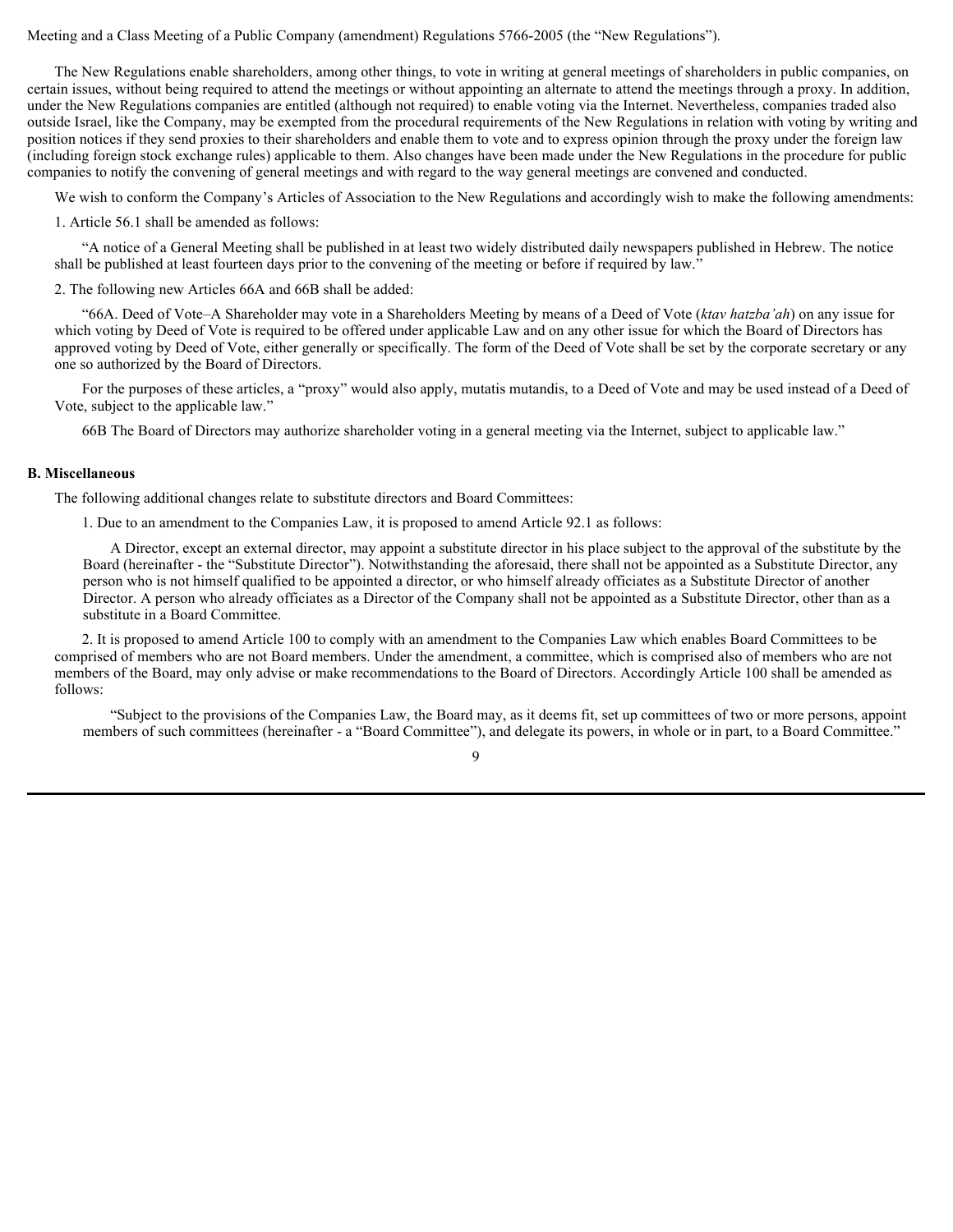#### Meeting and a Class Meeting of a Public Company (amendment) Regulations 5766-2005 (the "New Regulations").

The New Regulations enable shareholders, among other things, to vote in writing at general meetings of shareholders in public companies, on certain issues, without being required to attend the meetings or without appointing an alternate to attend the meetings through a proxy. In addition, under the New Regulations companies are entitled (although not required) to enable voting via the Internet. Nevertheless, companies traded also outside Israel, like the Company, may be exempted from the procedural requirements of the New Regulations in relation with voting by writing and position notices if they send proxies to their shareholders and enable them to vote and to express opinion through the proxy under the foreign law (including foreign stock exchange rules) applicable to them. Also changes have been made under the New Regulations in the procedure for public companies to notify the convening of general meetings and with regard to the way general meetings are convened and conducted.

We wish to conform the Company's Articles of Association to the New Regulations and accordingly wish to make the following amendments:

1. Article 56.1 shall be amended as follows:

"A notice of a General Meeting shall be published in at least two widely distributed daily newspapers published in Hebrew. The notice shall be published at least fourteen days prior to the convening of the meeting or before if required by law."

2. The following new Articles 66A and 66B shall be added:

"66A. Deed of Vote–A Shareholder may vote in a Shareholders Meeting by means of a Deed of Vote (*ktav hatzba'ah*) on any issue for which voting by Deed of Vote is required to be offered under applicable Law and on any other issue for which the Board of Directors has approved voting by Deed of Vote, either generally or specifically. The form of the Deed of Vote shall be set by the corporate secretary or any one so authorized by the Board of Directors.

For the purposes of these articles, a "proxy" would also apply, mutatis mutandis, to a Deed of Vote and may be used instead of a Deed of Vote, subject to the applicable law."

66B The Board of Directors may authorize shareholder voting in a general meeting via the Internet, subject to applicable law."

#### **B. Miscellaneous**

The following additional changes relate to substitute directors and Board Committees:

1. Due to an amendment to the Companies Law, it is proposed to amend Article 92.1 as follows:

A Director, except an external director, may appoint a substitute director in his place subject to the approval of the substitute by the Board (hereinafter - the "Substitute Director"). Notwithstanding the aforesaid, there shall not be appointed as a Substitute Director, any person who is not himself qualified to be appointed a director, or who himself already officiates as a Substitute Director of another Director. A person who already officiates as a Director of the Company shall not be appointed as a Substitute Director, other than as a substitute in a Board Committee.

2. It is proposed to amend Article 100 to comply with an amendment to the Companies Law which enables Board Committees to be comprised of members who are not Board members. Under the amendment, a committee, which is comprised also of members who are not members of the Board, may only advise or make recommendations to the Board of Directors. Accordingly Article 100 shall be amended as follows:

9

"Subject to the provisions of the Companies Law, the Board may, as it deems fit, set up committees of two or more persons, appoint members of such committees (hereinafter - a "Board Committee"), and delegate its powers, in whole or in part, to a Board Committee."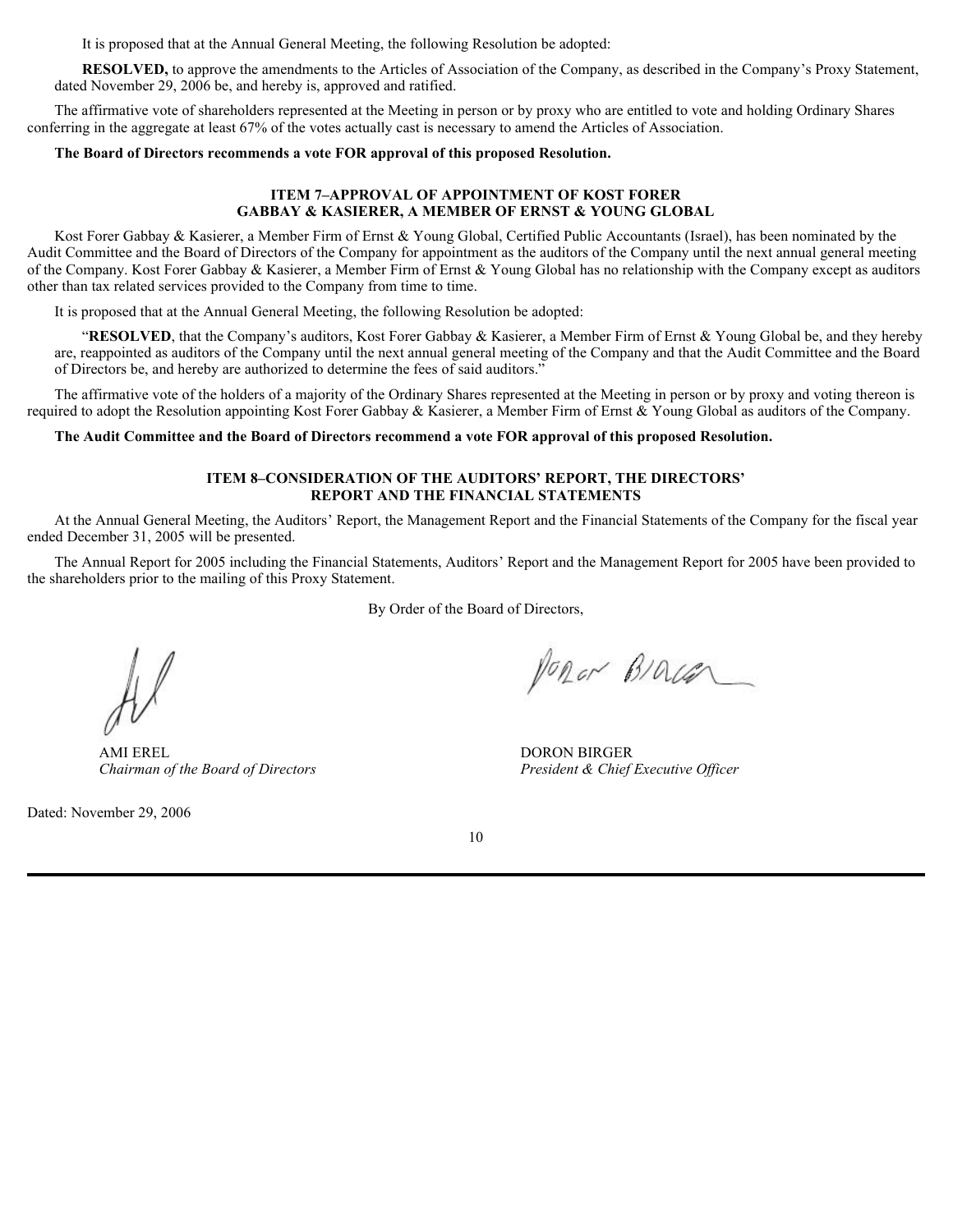It is proposed that at the Annual General Meeting, the following Resolution be adopted:

**RESOLVED,** to approve the amendments to the Articles of Association of the Company, as described in the Company's Proxy Statement, dated November 29, 2006 be, and hereby is, approved and ratified.

The affirmative vote of shareholders represented at the Meeting in person or by proxy who are entitled to vote and holding Ordinary Shares conferring in the aggregate at least 67% of the votes actually cast is necessary to amend the Articles of Association.

#### **The Board of Directors recommends a vote FOR approval of this proposed Resolution.**

#### **ITEM 7–APPROVAL OF APPOINTMENT OF KOST FORER GABBAY & KASIERER, A MEMBER OF ERNST & YOUNG GLOBAL**

Kost Forer Gabbay & Kasierer, a Member Firm of Ernst & Young Global, Certified Public Accountants (Israel), has been nominated by the Audit Committee and the Board of Directors of the Company for appointment as the auditors of the Company until the next annual general meeting of the Company. Kost Forer Gabbay & Kasierer, a Member Firm of Ernst & Young Global has no relationship with the Company except as auditors other than tax related services provided to the Company from time to time.

It is proposed that at the Annual General Meeting, the following Resolution be adopted:

"**RESOLVED**, that the Company's auditors, Kost Forer Gabbay & Kasierer, a Member Firm of Ernst & Young Global be, and they hereby are, reappointed as auditors of the Company until the next annual general meeting of the Company and that the Audit Committee and the Board of Directors be, and hereby are authorized to determine the fees of said auditors."

The affirmative vote of the holders of a majority of the Ordinary Shares represented at the Meeting in person or by proxy and voting thereon is required to adopt the Resolution appointing Kost Forer Gabbay & Kasierer, a Member Firm of Ernst & Young Global as auditors of the Company.

#### **The Audit Committee and the Board of Directors recommend a vote FOR approval of this proposed Resolution.**

#### **ITEM 8–CONSIDERATlON OF THE AUDITORS' REPORT, THE DIRECTORS' REPORT AND THE FINANCIAL STATEMENTS**

At the Annual General Meeting, the Auditors' Report, the Management Report and the Financial Statements of the Company for the fiscal year ended December 31, 2005 will be presented.

The Annual Report for 2005 including the Financial Statements, Auditors' Report and the Management Report for 2005 have been provided to the shareholders prior to the mailing of this Proxy Statement.

By Order of the Board of Directors,

AMI EREL *Chairman of the Board of Directors*

Dated: November 29, 2006

Popor BIOLER

DORON BIRGER *President & Chief Executive Officer*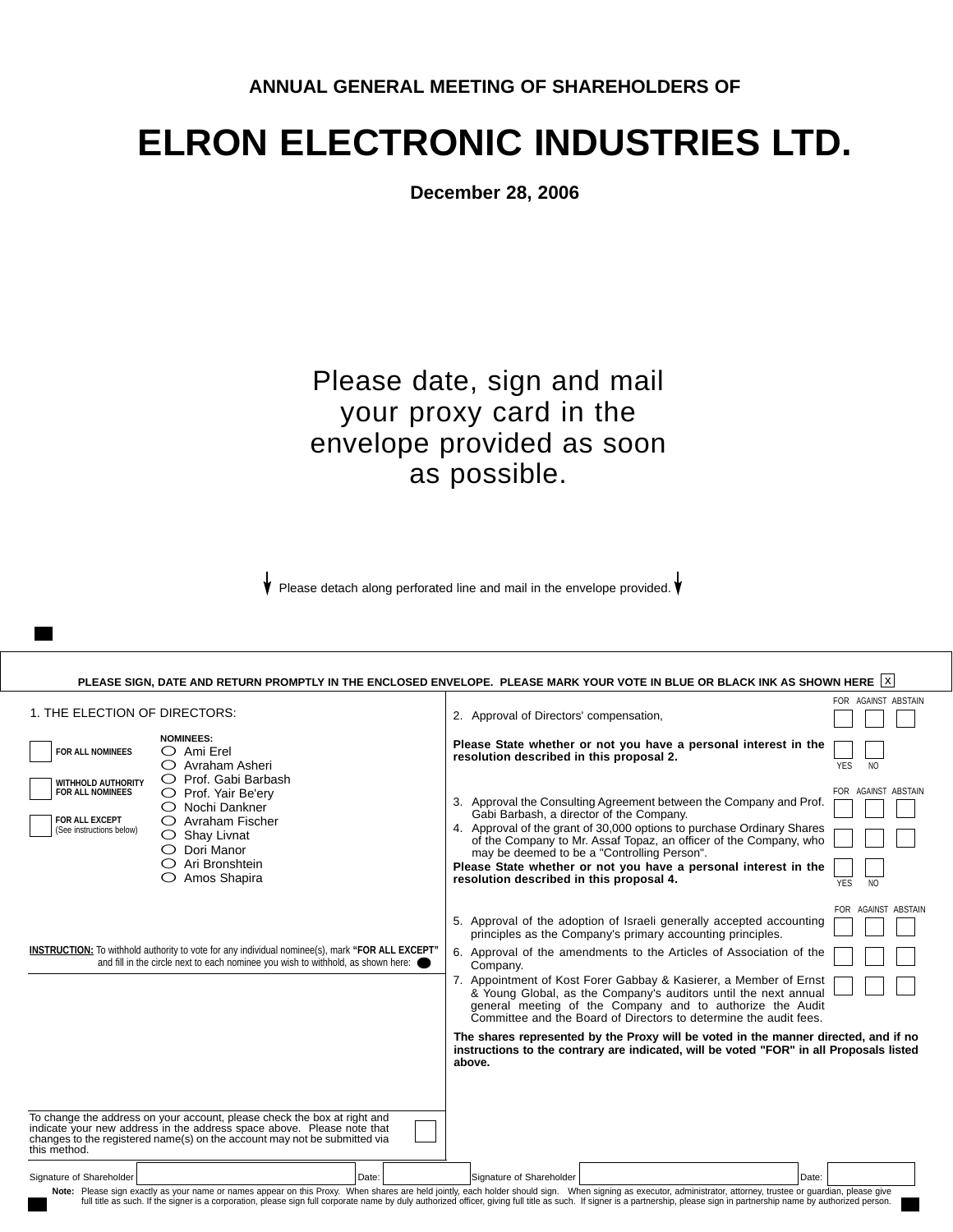# **ELRON ELECTRONIC INDUSTRIES LTD.**

**December 28, 2006**

## Please date, sign and mail your proxy card in the envelope provided as soon as possible.

Please detach along perforated line and mail in the envelope provided.  $\bigvee$ 

| FOR AGAINST ABSTAIN<br>1. THE ELECTION OF DIRECTORS:<br>2. Approval of Directors' compensation,<br><b>NOMINEES:</b><br>Please State whether or not you have a personal interest in the<br>FOR ALL NOMINEES<br>$\bigcirc$ Ami Erel<br>resolution described in this proposal 2.<br>$\bigcirc$ Avraham Asheri<br>YES<br>N <sub>O</sub><br>$\bigcirc$ Prof. Gabi Barbash<br>WITHHOLD AUTHORITY<br>FOR AGAINST ABSTAIN<br>FOR ALL NOMINEES<br>O Prof. Yair Be'ery<br>3. Approval the Consulting Agreement between the Company and Prof.<br>$\bigcirc$ Nochi Dankner<br>Gabi Barbash, a director of the Company.<br><b>FOR ALL EXCEPT</b><br>$\bigcirc$ Avraham Fischer<br>4. Approval of the grant of 30,000 options to purchase Ordinary Shares<br>(See instructions below)<br>$\bigcirc$ Shay Livnat<br>of the Company to Mr. Assaf Topaz, an officer of the Company, who<br>$\bigcirc$ Dori Manor<br>may be deemed to be a "Controlling Person".<br>○ Ari Bronshtein<br>Please State whether or not you have a personal interest in the<br>$\bigcirc$ Amos Shapira<br>resolution described in this proposal 4.<br><b>YES</b><br>N <sub>O</sub><br>FOR AGAINST ABSTAIN<br>5. Approval of the adoption of Israeli generally accepted accounting<br>principles as the Company's primary accounting principles.<br>INSTRUCTION: To withhold authority to vote for any individual nominee(s), mark "FOR ALL EXCEPT"<br>6. Approval of the amendments to the Articles of Association of the<br>and fill in the circle next to each nominee you wish to withhold, as shown here:<br>Company.<br>7. Appointment of Kost Forer Gabbay & Kasierer, a Member of Ernst<br>& Young Global, as the Company's auditors until the next annual<br>general meeting of the Company and to authorize the Audit<br>Committee and the Board of Directors to determine the audit fees.<br>The shares represented by the Proxy will be voted in the manner directed, and if no<br>instructions to the contrary are indicated, will be voted "FOR" in all Proposals listed<br>above.<br>To change the address on your account, please check the box at right and<br>indicate your new address in the address space above. Please note that<br>changes to the registered name(s) on the account may not be submitted via<br>this method.<br>Signature of Shareholder<br>Date:<br>Signature of Shareholder<br>Date:<br>Note: Please sign exactly as your name or names appear on this Proxy. When shares are held jointly, each holder should sign. When signing as executor, administrator, attorney, trustee or guardian, please give<br>full title as such. If the signer is a corporation, please sign full corporate name by duly authorized officer, giving full title as such. If signer is a partnership, please sign in partnership name by authorized person. | PLEASE SIGN, DATE AND RETURN PROMPTLY IN THE ENCLOSED ENVELOPE. PLEASE MARK YOUR VOTE IN BLUE OR BLACK INK AS SHOWN HERE  X |  |
|--------------------------------------------------------------------------------------------------------------------------------------------------------------------------------------------------------------------------------------------------------------------------------------------------------------------------------------------------------------------------------------------------------------------------------------------------------------------------------------------------------------------------------------------------------------------------------------------------------------------------------------------------------------------------------------------------------------------------------------------------------------------------------------------------------------------------------------------------------------------------------------------------------------------------------------------------------------------------------------------------------------------------------------------------------------------------------------------------------------------------------------------------------------------------------------------------------------------------------------------------------------------------------------------------------------------------------------------------------------------------------------------------------------------------------------------------------------------------------------------------------------------------------------------------------------------------------------------------------------------------------------------------------------------------------------------------------------------------------------------------------------------------------------------------------------------------------------------------------------------------------------------------------------------------------------------------------------------------------------------------------------------------------------------------------------------------------------------------------------------------------------------------------------------------------------------------------------------------------------------------------------------------------------------------------------------------------------------------------------------------------------------------------------------------------------------------------------------------------------------------------------------------------------------------------------------------------------------------------------------------------------------------------------------------------------------------------------------------------------------------------------------------------------------------------------------------------------------|-----------------------------------------------------------------------------------------------------------------------------|--|
|                                                                                                                                                                                                                                                                                                                                                                                                                                                                                                                                                                                                                                                                                                                                                                                                                                                                                                                                                                                                                                                                                                                                                                                                                                                                                                                                                                                                                                                                                                                                                                                                                                                                                                                                                                                                                                                                                                                                                                                                                                                                                                                                                                                                                                                                                                                                                                                                                                                                                                                                                                                                                                                                                                                                                                                                                                            |                                                                                                                             |  |
|                                                                                                                                                                                                                                                                                                                                                                                                                                                                                                                                                                                                                                                                                                                                                                                                                                                                                                                                                                                                                                                                                                                                                                                                                                                                                                                                                                                                                                                                                                                                                                                                                                                                                                                                                                                                                                                                                                                                                                                                                                                                                                                                                                                                                                                                                                                                                                                                                                                                                                                                                                                                                                                                                                                                                                                                                                            |                                                                                                                             |  |
|                                                                                                                                                                                                                                                                                                                                                                                                                                                                                                                                                                                                                                                                                                                                                                                                                                                                                                                                                                                                                                                                                                                                                                                                                                                                                                                                                                                                                                                                                                                                                                                                                                                                                                                                                                                                                                                                                                                                                                                                                                                                                                                                                                                                                                                                                                                                                                                                                                                                                                                                                                                                                                                                                                                                                                                                                                            |                                                                                                                             |  |
|                                                                                                                                                                                                                                                                                                                                                                                                                                                                                                                                                                                                                                                                                                                                                                                                                                                                                                                                                                                                                                                                                                                                                                                                                                                                                                                                                                                                                                                                                                                                                                                                                                                                                                                                                                                                                                                                                                                                                                                                                                                                                                                                                                                                                                                                                                                                                                                                                                                                                                                                                                                                                                                                                                                                                                                                                                            |                                                                                                                             |  |
|                                                                                                                                                                                                                                                                                                                                                                                                                                                                                                                                                                                                                                                                                                                                                                                                                                                                                                                                                                                                                                                                                                                                                                                                                                                                                                                                                                                                                                                                                                                                                                                                                                                                                                                                                                                                                                                                                                                                                                                                                                                                                                                                                                                                                                                                                                                                                                                                                                                                                                                                                                                                                                                                                                                                                                                                                                            |                                                                                                                             |  |